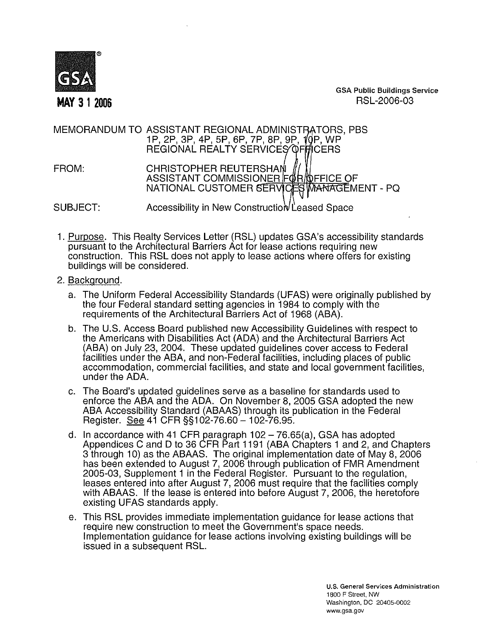

GSA **Public Buildings Service MAY 3** 1 **<sup>2006</sup>** RSL-2006-03

## MEMORANDUM TO ASSISTANT REGIONA lP, 2P, 3P, 4P, 5P, 6P, 7P, 8P, REGIONAL REALTY SERVICES OF MCERS FROM: CHRISTOPHER REUTERSHAN ASSISTANT COMMISSIONER FOR DEFICE OF NATIONAL CUSTOMER SERVICES **WANAGEMENT - PQ** SUBJECT: Accessibility in New Construction Leased Space

- 1. Purpose. This Realty Services Letter (RSL) updates GSA's accessibility standards pursuant to the Architectural Barriers Act for lease actions requiring new construction. This RSL does not apply to lease actions where offers for existing buildings will be considered.
- 2. Backqround.
	- a. The Uniform Federal Accessibility Standards (UFAS) were originally published by the four Federal standard setting agencies in 1984 to comply with the requirements of the Architectural Barriers Act of 1968 (ABA).
	- b. The U.S. Access Board published new Accessibility Guidelines with respect to the Americans with Disabilities Act (ADA) and the Architectural Barriers Act (ABA) on July 23,2004. These updated guidelines cover access to Federal facilities under the ABA, and non-Federal facilities, including places of public accommodation, commercial facilities, and state and local government facilities, under the ADA.
	- c. The Board's updated guidelines serve as a baseline for standards used to enforce the ABA and the ADA. On November 8,2005 GSA adopted the new ABA Accessibility Standard (ABAAS) through its publication in the Federal Register. See 41 CFR §§102-76.60 - 102-76.95.
	- d. In accordance with 41 CFR paragraph  $102 76.65(a)$ , GSA has adopted Appendices C and D to 36 CFR Part 1191 (ABA Chapters 1 and 2, and Chapters 3 through 10) as the ABAAS. The original implementation date of May 8, 2006 has been extended to August 7, 2006 through publication of FMR Amendment 2005-03, Supplement 1 in the Federal Register. Pursuant to the regulation, leases entered into after August 7, 2006 must require that the facilities comply with ABAAS. If the lease is entered into before August 7, 2006, the heretofore existing UFAS standards apply.
	- e. This RSL provides immediate implementation guidance for lease actions that require new construction to meet the Government's space needs. Implementation guidance for lease actions involving existing buildings will be issued in a subsequent RSL.

**U.S. General Services Administration**  1800 **F Street.** NW **Washington. DC** 20405-0002 **www.gsa.gov**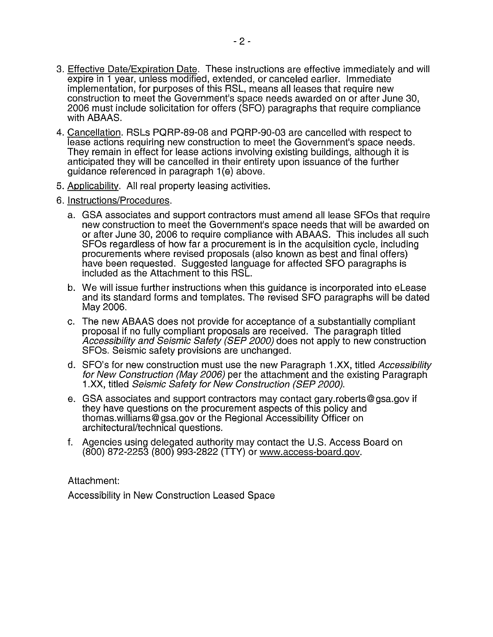- 3. Effective Date/Expiration Date. These instructions are effective immediately and will expire in 1 year, unless modified, extended, or canceled earlier. Immediate implementation, for purposes of this RSL, means all leases that require new construction to meet the Government's space needs awarded on or after June 30, 2006 must include solicitation for offers (SFO) paragraphs that require compliance with ABAAS.
- 4. Cancellation. RSLs PQRP-89-08 and PQRP-90-03 are cancelled with respect to lease actions requiring new construction to meet the Government's space needs. They remain in effect for lease actions involving existing buildings, although it is anticipated they will be cancelled in their entirety upon issuance of the further guidance referenced in paragraph 1(e) above.
- 5. Applicabilitv. All real property leasing activities.
- 6. Instructions/Procedures.
	- a. GSA associates and support contractors must amend all lease SFOs that require new construction to meet the Government's space needs that will be awarded on or after June 30, 2006 to require compliance with ABAAS. This includes all such SFOs regardless of how far a procurement is in the acquisition cycle, including procurements where revised proposals (also known as best and final offers) have been requested. Suggested language for affected SFO paragraphs is included as the Attachment to this RSL.
	- b. We will issue further instructions when this guidance is incorporated into eLease and its standard forms and templates. The revised SFO paragraphs will be dated May 2006.
	- c. The new ABAAS does not provide for acceptance of a substantially compliant proposal if no fully compliant proposals are received. The paragraph titled Accessibility and Seismic Safety (SEP 2000) does not apply to new construction SFOs. Seismic safety provisions are unchanged.
	- d. SFO's for new construction must use the new Paragraph 1.XX, titled Accessibility for New Construction (May 2006) per the attachment and the existing Paragraph 1.XX, titled Seismic Safety for New Construction (SEP 2000).
	- e. GSA associates and support contractors may contact gary.roberts@gsa.gov if they have questions on the procurement aspects of this policy and thomas.williams@gsa.gov or the Regional Accessibility Officer on architectural/technical questions.
	- f. Agencies using delegated authority may contact the U.S. Access Board on (800) 872-2253 (800) 993-2822 (TTY) or www.access-board.gov.

Attachment:

Accessibility in New Construction Leased Space